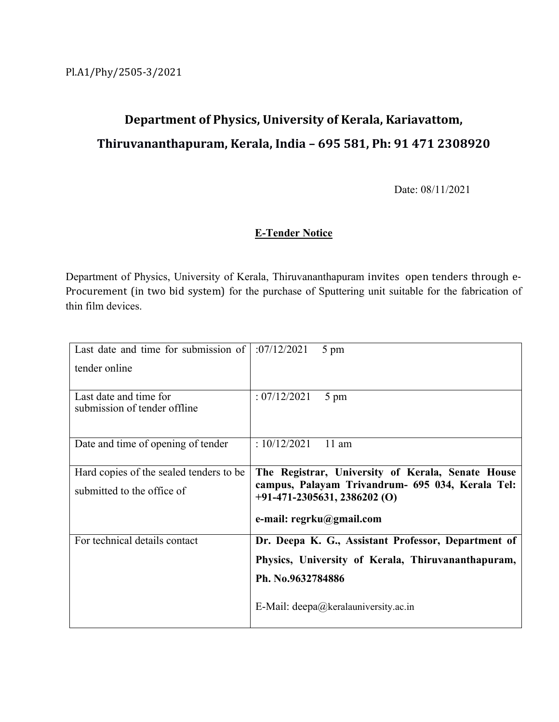# **Department of Physics, University of Kerala, Kariavattom, Thiruvananthapuram, Kerala, India – 695 581, Ph: 91 471 2308920**

Date: 08/11/2021

### **E-Tender Notice**

Department of Physics, University of Kerala, Thiruvananthapuram invites open tenders through e- Procurement (in two bid system) for the purchase of Sputtering unit suitable for the fabrication of thin film devices.

| Last date and time for submission of                                  | :07/12/2021                                                                                                                                                         | 5 pm                                                |
|-----------------------------------------------------------------------|---------------------------------------------------------------------------------------------------------------------------------------------------------------------|-----------------------------------------------------|
| tender online                                                         |                                                                                                                                                                     |                                                     |
| Last date and time for<br>submission of tender offline                | : 07/12/2021                                                                                                                                                        | 5 pm                                                |
| Date and time of opening of tender                                    | : $10/12/2021$                                                                                                                                                      | $11$ am                                             |
| Hard copies of the sealed tenders to be<br>submitted to the office of | The Registrar, University of Kerala, Senate House<br>campus, Palayam Trivandrum- 695 034, Kerala Tel:<br>$+91-471-2305631, 2386202$ (O)<br>e-mail: regrku@gmail.com |                                                     |
| For technical details contact                                         |                                                                                                                                                                     | Dr. Deepa K. G., Assistant Professor, Department of |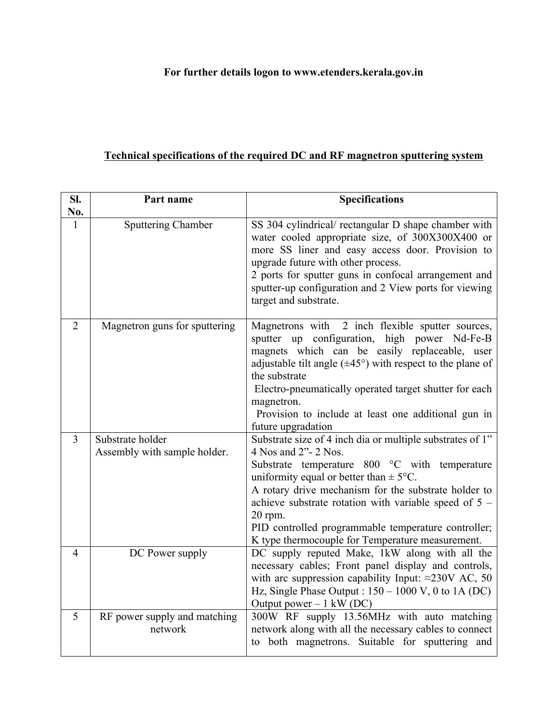# **For further details logon to www.etenders.kerala.gov.in**

# **Technical specifications of the required DC and RF magnetron sputtering system**

| SI.            | Part name                                        | <b>Specifications</b>                                                                                                                                                                                                                                                                                                                                                                                                     |
|----------------|--------------------------------------------------|---------------------------------------------------------------------------------------------------------------------------------------------------------------------------------------------------------------------------------------------------------------------------------------------------------------------------------------------------------------------------------------------------------------------------|
| No.<br>1       | Sputtering Chamber                               | SS 304 cylindrical/ rectangular D shape chamber with<br>water cooled appropriate size, of 300X300X400 or<br>more SS liner and easy access door. Provision to<br>upgrade future with other process.<br>2 ports for sputter guns in confocal arrangement and<br>sputter-up configuration and 2 View ports for viewing<br>target and substrate.                                                                              |
| $\overline{2}$ | Magnetron guns for sputtering                    | Magnetrons with 2 inch flexible sputter sources,<br>sputter up configuration, high power Nd-Fe-B<br>magnets which can be easily replaceable, user<br>adjustable tilt angle $(\pm 45^{\circ})$ with respect to the plane of<br>the substrate<br>Electro-pneumatically operated target shutter for each<br>magnetron.<br>Provision to include at least one additional gun in<br>future upgradation                          |
| $\overline{3}$ | Substrate holder<br>Assembly with sample holder. | Substrate size of 4 inch dia or multiple substrates of 1"<br>4 Nos and 2"- 2 Nos.<br>Substrate temperature 800 °C with temperature<br>uniformity equal or better than $\pm$ 5°C.<br>A rotary drive mechanism for the substrate holder to<br>achieve substrate rotation with variable speed of $5 -$<br>20 rpm.<br>PID controlled programmable temperature controller;<br>K type thermocouple for Temperature measurement. |
| $\overline{4}$ | DC Power supply                                  | DC supply reputed Make, 1kW along with all the<br>necessary cables; Front panel display and controls,<br>with arc suppression capability Input: $\approx$ 230V AC, 50<br>Hz, Single Phase Output : $150 - 1000$ V, 0 to 1A (DC)<br>Output power $-1$ kW (DC)                                                                                                                                                              |
| 5              | RF power supply and matching<br>network          | 300W RF supply 13.56MHz with auto matching<br>network along with all the necessary cables to connect<br>to both magnetrons. Suitable for sputtering and                                                                                                                                                                                                                                                                   |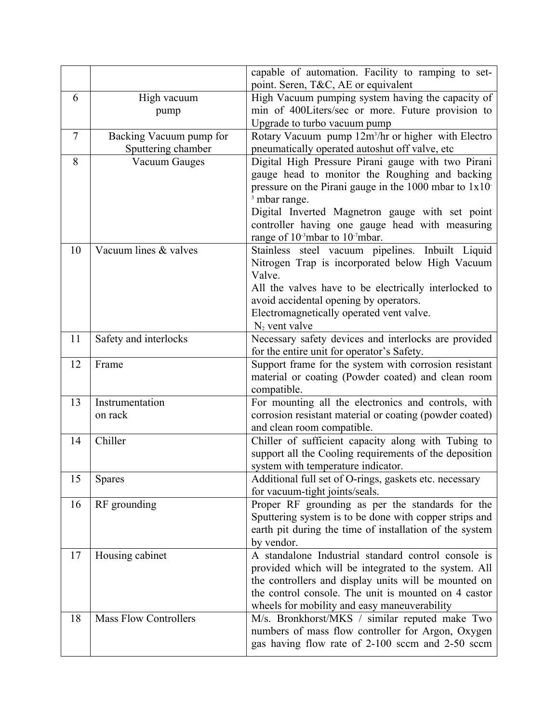|                             |                                                  | capable of automation. Facility to ramping to set-                                                            |
|-----------------------------|--------------------------------------------------|---------------------------------------------------------------------------------------------------------------|
| 6                           | High vacuum                                      | point. Seren, T&C, AE or equivalent<br>High Vacuum pumping system having the capacity of                      |
|                             |                                                  | min of 400Liters/sec or more. Future provision to                                                             |
|                             | pump                                             | Upgrade to turbo vacuum pump                                                                                  |
| $\overline{7}$              | Backing Vacuum pump for                          | Rotary Vacuum pump 12m <sup>3</sup> /hr or higher with Electro                                                |
|                             | Sputtering chamber                               | pneumatically operated autoshut off valve, etc                                                                |
| 8                           | <b>Vacuum Gauges</b>                             | Digital High Pressure Pirani gauge with two Pirani                                                            |
|                             |                                                  | gauge head to monitor the Roughing and backing                                                                |
|                             |                                                  | pressure on the Pirani gauge in the $1000$ mbar to $1x10$                                                     |
|                             | <sup>3</sup> mbar range.                         |                                                                                                               |
|                             |                                                  | Digital Inverted Magnetron gauge with set point                                                               |
|                             | controller having one gauge head with measuring  |                                                                                                               |
|                             |                                                  | range of 10 <sup>-3</sup> mbar to 10 <sup>-7</sup> mbar.                                                      |
| Vacuum lines & valves<br>10 | Stainless steel vacuum pipelines. Inbuilt Liquid |                                                                                                               |
|                             | Nitrogen Trap is incorporated below High Vacuum  |                                                                                                               |
|                             | Valve.                                           |                                                                                                               |
|                             |                                                  | All the valves have to be electrically interlocked to                                                         |
|                             |                                                  | avoid accidental opening by operators.                                                                        |
|                             |                                                  | Electromagnetically operated vent valve.                                                                      |
|                             |                                                  | $N_2$ vent valve                                                                                              |
| 11                          | Safety and interlocks                            | Necessary safety devices and interlocks are provided                                                          |
|                             |                                                  | for the entire unit for operator's Safety.                                                                    |
| 12                          | Frame                                            | Support frame for the system with corrosion resistant                                                         |
|                             |                                                  | material or coating (Powder coated) and clean room                                                            |
|                             |                                                  | compatible.                                                                                                   |
| 13                          | Instrumentation                                  | For mounting all the electronics and controls, with                                                           |
|                             | on rack                                          | corrosion resistant material or coating (powder coated)                                                       |
|                             | Chiller                                          | and clean room compatible.                                                                                    |
| 14                          |                                                  | Chiller of sufficient capacity along with Tubing to<br>support all the Cooling requirements of the deposition |
|                             |                                                  | system with temperature indicator.                                                                            |
| 15                          | <b>Spares</b>                                    | Additional full set of O-rings, gaskets etc. necessary                                                        |
|                             |                                                  | for vacuum-tight joints/seals.                                                                                |
| 16                          | RF grounding                                     | Proper RF grounding as per the standards for the                                                              |
|                             |                                                  | Sputtering system is to be done with copper strips and                                                        |
|                             |                                                  | earth pit during the time of installation of the system                                                       |
|                             |                                                  | by vendor.                                                                                                    |
| 17                          | Housing cabinet                                  | A standalone Industrial standard control console is                                                           |
|                             |                                                  | provided which will be integrated to the system. All                                                          |
|                             |                                                  | the controllers and display units will be mounted on                                                          |
|                             |                                                  | the control console. The unit is mounted on 4 castor                                                          |
|                             |                                                  | wheels for mobility and easy maneuverability                                                                  |
| 18                          | <b>Mass Flow Controllers</b>                     | M/s. Bronkhorst/MKS / similar reputed make Two                                                                |
|                             |                                                  | numbers of mass flow controller for Argon, Oxygen                                                             |
|                             | gas having flow rate of 2-100 sccm and 2-50 sccm |                                                                                                               |
|                             |                                                  |                                                                                                               |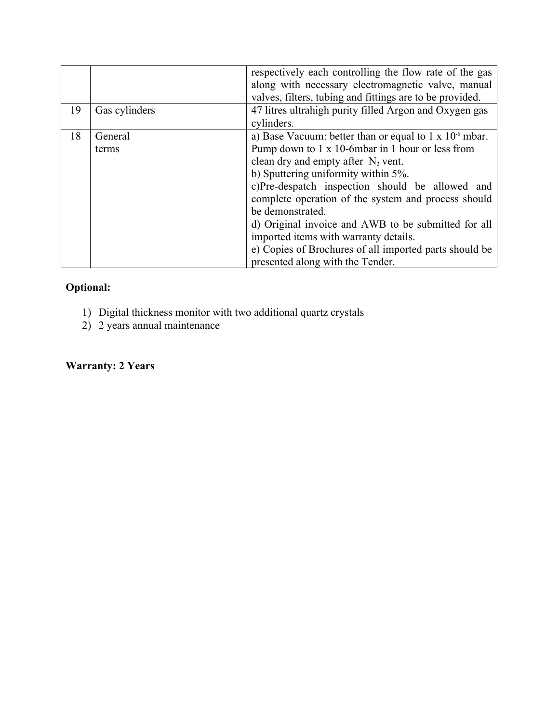| 19 |                  | respectively each controlling the flow rate of the gas<br>along with necessary electromagnetic valve, manual<br>valves, filters, tubing and fittings are to be provided.<br>47 litres ultrahigh purity filled Argon and Oxygen gas                                                                                                                                                                                                                                                                                               |
|----|------------------|----------------------------------------------------------------------------------------------------------------------------------------------------------------------------------------------------------------------------------------------------------------------------------------------------------------------------------------------------------------------------------------------------------------------------------------------------------------------------------------------------------------------------------|
|    | Gas cylinders    | cylinders.                                                                                                                                                                                                                                                                                                                                                                                                                                                                                                                       |
| 18 | General<br>terms | a) Base Vacuum: better than or equal to $1 \times 10^{-6}$ mbar.<br>Pump down to 1 x 10-6mbar in 1 hour or less from<br>clean dry and empty after $N_2$ vent.<br>b) Sputtering uniformity within 5%.<br>c)Pre-despatch inspection should be allowed and<br>complete operation of the system and process should<br>be demonstrated.<br>d) Original invoice and AWB to be submitted for all<br>imported items with warranty details.<br>e) Copies of Brochures of all imported parts should be<br>presented along with the Tender. |

# **Optional:**

- 1) Digital thickness monitor with two additional quartz crystals
- 2) 2 years annual maintenance

### **Warranty: 2 Years**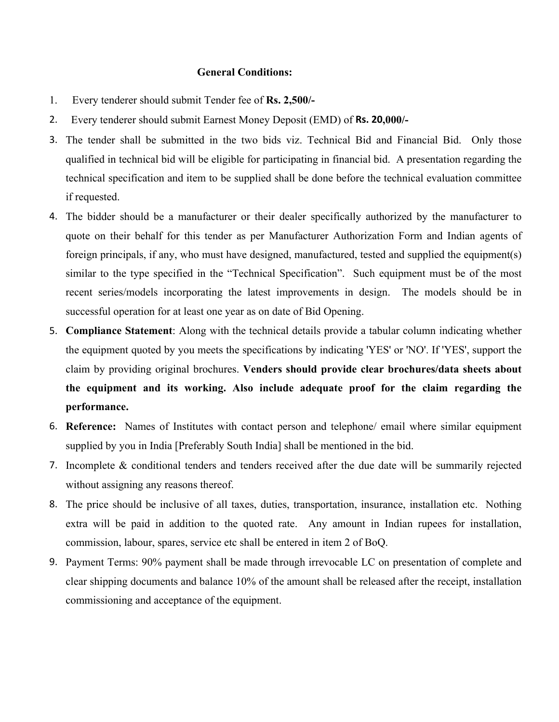#### **General Conditions:**

- 1. Every tenderer should submit Tender fee of **Rs. 2,500/-**
- 2. Every tenderer should submit Earnest Money Deposit (EMD) of **Rs. 20,000/-**
- 3. The tender shall be submitted in the two bids viz. Technical Bid and Financial Bid. Only those qualified in technical bid will be eligible for participating in financial bid. A presentation regarding the technical specification and item to be supplied shall be done before the technical evaluation committee if requested.
- 4. The bidder should be a manufacturer or their dealer specifically authorized by the manufacturer to quote on their behalf for this tender as per Manufacturer Authorization Form and Indian agents of foreign principals, if any, who must have designed, manufactured, tested and supplied the equipment(s) similar to the type specified in the "Technical Specification". Such equipment must be of the most recent series/models incorporating the latest improvements in design. The models should be in successful operation for at least one year as on date of Bid Opening.
- 5. **Compliance Statement**: Along with the technical details provide a tabular column indicating whether the equipment quoted by you meets the specifications by indicating 'YES' or 'NO'. If 'YES', support the claim by providing original brochures. **Venders should provide clear brochures/data sheets about the equipment and its working. Also include adequate proof for the claim regarding the performance.**
- 6. **Reference:** Names of Institutes with contact person and telephone/ email where similar equipment supplied by you in India [Preferably South India] shall be mentioned in the bid.
- 7. Incomplete & conditional tenders and tenders received after the due date will be summarily rejected without assigning any reasons thereof.
- 8. The price should be inclusive of all taxes, duties, transportation, insurance, installation etc. Nothing extra will be paid in addition to the quoted rate. Any amount in Indian rupees for installation, commission, labour, spares, service etc shall be entered in item 2 of BoQ.
- 9. Payment Terms: 90% payment shall be made through irrevocable LC on presentation of complete and clear shipping documents and balance 10% of the amount shall be released after the receipt, installation commissioning and acceptance of the equipment.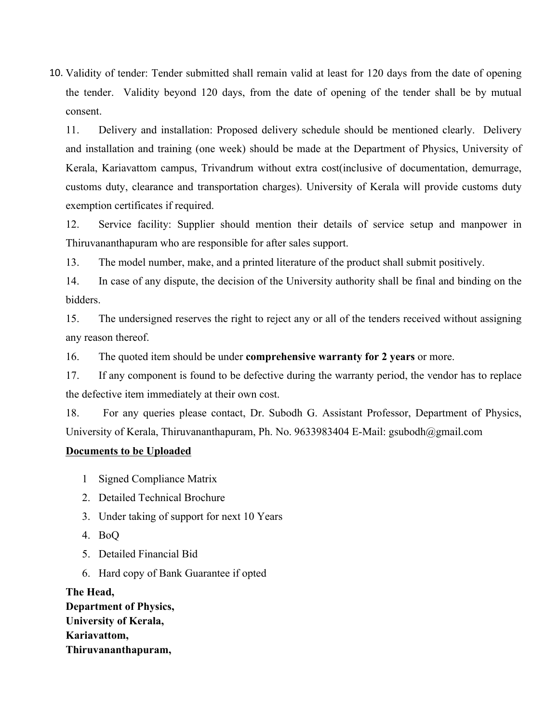10. Validity of tender: Tender submitted shall remain valid at least for 120 days from the date of opening the tender. Validity beyond 120 days, from the date of opening of the tender shall be by mutual consent.

11. Delivery and installation: Proposed delivery schedule should be mentioned clearly. Delivery and installation and training (one week) should be made at the Department of Physics, University of Kerala, Kariavattom campus, Trivandrum without extra cost(inclusive of documentation, demurrage, customs duty, clearance and transportation charges). University of Kerala will provide customs duty exemption certificates if required.

12. Service facility: Supplier should mention their details of service setup and manpower in Thiruvananthapuram who are responsible for after sales support.

13. The model number, make, and a printed literature of the product shall submit positively.

14. In case of any dispute, the decision of the University authority shall be final and binding on the bidders.

15. The undersigned reserves the right to reject any or all of the tenders received without assigning any reason thereof.

16. The quoted item should be under **comprehensive warranty for 2 years** or more.

17. If any component is found to be defective during the warranty period, the vendor has to replace the defective item immediately at their own cost.

18. For any queries please contact, Dr. Subodh G. Assistant Professor, Department of Physics, University of Kerala, Thiruvananthapuram, Ph. No. 9633983404 E-Mail: gsubodh@gmail.com

#### **Documents to be Uploaded**

- 1 Signed Compliance Matrix
- 2. Detailed Technical Brochure
- 3. Under taking of support for next 10 Years
- 4. BoQ
- 5. Detailed Financial Bid
- 6. Hard copy of Bank Guarantee if opted

**The Head, Department of Physics, University of Kerala, Kariavattom, Thiruvananthapuram,**